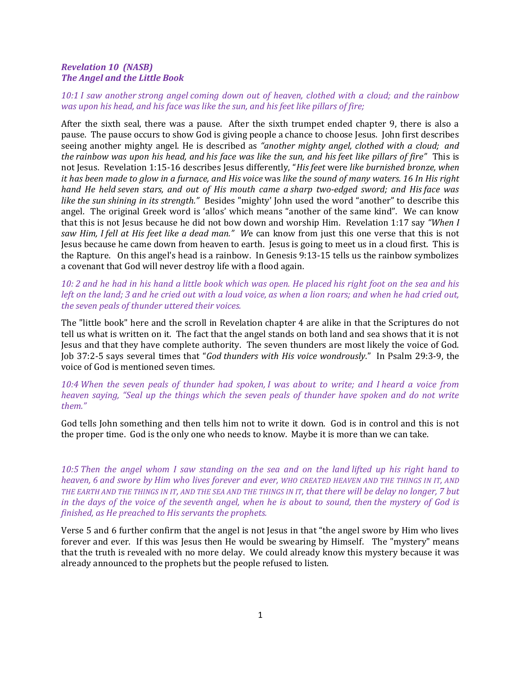## Revelation 10 (NASB) The Angel and the Little Book

10:1 I saw another strong angel coming down out of heaven, clothed with a cloud; and the rainbow was upon his head, and his face was like the sun, and his feet like pillars of fire;

After the sixth seal, there was a pause. After the sixth trumpet ended chapter 9, there is also a pause. The pause occurs to show God is giving people a chance to choose Jesus. John first describes seeing another mighty angel. He is described as "another mighty angel, clothed with a cloud; and the rainbow was upon his head, and his face was like the sun, and his feet like pillars of fire" This is not Jesus. Revelation 1:15-16 describes Jesus differently, "His feet were like burnished bronze, when it has been made to glow in a furnace, and His voice was like the sound of many waters. 16 In His right hand He held seven stars, and out of His mouth came a sharp two-edged sword; and His face was like the sun shining in its strength." Besides "mighty' John used the word "another" to describe this angel. The original Greek word is 'allos' which means "another of the same kind". We can know that this is not Jesus because he did not bow down and worship Him. Revelation 1:17 say "When I saw Him, I fell at His feet like a dead man." We can know from just this one verse that this is not Jesus because he came down from heaven to earth. Jesus is going to meet us in a cloud first. This is the Rapture. On this angel's head is a rainbow. In Genesis 9:13-15 tells us the rainbow symbolizes a covenant that God will never destroy life with a flood again.

10: 2 and he had in his hand a little book which was open. He placed his right foot on the sea and his left on the land; 3 and he cried out with a loud voice, as when a lion roars; and when he had cried out, the seven peals of thunder uttered their voices.

The "little book" here and the scroll in Revelation chapter 4 are alike in that the Scriptures do not tell us what is written on it. The fact that the angel stands on both land and sea shows that it is not Jesus and that they have complete authority. The seven thunders are most likely the voice of God. Job 37:2-5 says several times that "God thunders with His voice wondrously." In Psalm 29:3-9, the voice of God is mentioned seven times.

10:4 When the seven peals of thunder had spoken, I was about to write; and I heard a voice from heaven saying, "Seal up the things which the seven peals of thunder have spoken and do not write them."

God tells John something and then tells him not to write it down. God is in control and this is not the proper time. God is the only one who needs to know. Maybe it is more than we can take.

10:5 Then the angel whom I saw standing on the sea and on the land lifted up his right hand to heaven, 6 and swore by Him who lives forever and ever, WHO CREATED HEAVEN AND THE THINGS IN IT, AND THE EARTH AND THE THINGS IN IT, AND THE SEA AND THE THINGS IN IT, that there will be delay no longer, 7 but in the days of the voice of the seventh angel, when he is about to sound, then the mystery of God is finished, as He preached to His servants the prophets.

Verse 5 and 6 further confirm that the angel is not Jesus in that "the angel swore by Him who lives forever and ever. If this was Jesus then He would be swearing by Himself. The "mystery" means that the truth is revealed with no more delay. We could already know this mystery because it was already announced to the prophets but the people refused to listen.